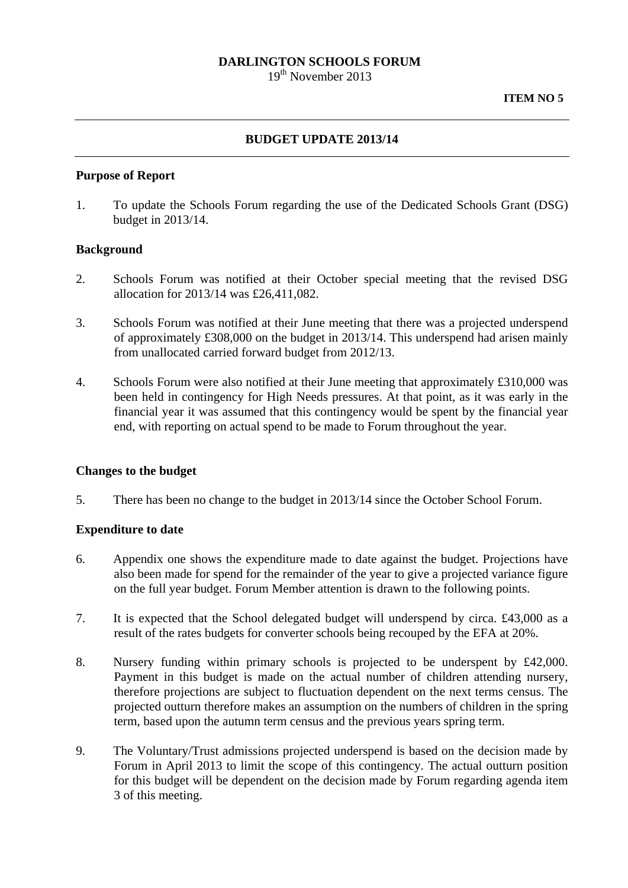## **DARLINGTON SCHOOLS FORUM**

19<sup>th</sup> November 2013

# **BUDGET UPDATE 2013/14**

### **Purpose of Report**

1. To update the Schools Forum regarding the use of the Dedicated Schools Grant (DSG) budget in 2013/14.

### **Background**

- 2. Schools Forum was notified at their October special meeting that the revised DSG allocation for 2013/14 was £26,411,082.
- 3. Schools Forum was notified at their June meeting that there was a projected underspend of approximately £308,000 on the budget in 2013/14. This underspend had arisen mainly from unallocated carried forward budget from 2012/13.
- 4. Schools Forum were also notified at their June meeting that approximately £310,000 was been held in contingency for High Needs pressures. At that point, as it was early in the financial year it was assumed that this contingency would be spent by the financial year end, with reporting on actual spend to be made to Forum throughout the year.

#### **Changes to the budget**

5. There has been no change to the budget in 2013/14 since the October School Forum.

### **Expenditure to date**

- 6. Appendix one shows the expenditure made to date against the budget. Projections have also been made for spend for the remainder of the year to give a projected variance figure on the full year budget. Forum Member attention is drawn to the following points.
- 7. It is expected that the School delegated budget will underspend by circa. £43,000 as a result of the rates budgets for converter schools being recouped by the EFA at 20%.
- 8. Nursery funding within primary schools is projected to be underspent by £42,000. Payment in this budget is made on the actual number of children attending nursery, therefore projections are subject to fluctuation dependent on the next terms census. The projected outturn therefore makes an assumption on the numbers of children in the spring term, based upon the autumn term census and the previous years spring term.
- 9. The Voluntary/Trust admissions projected underspend is based on the decision made by Forum in April 2013 to limit the scope of this contingency. The actual outturn position for this budget will be dependent on the decision made by Forum regarding agenda item 3 of this meeting.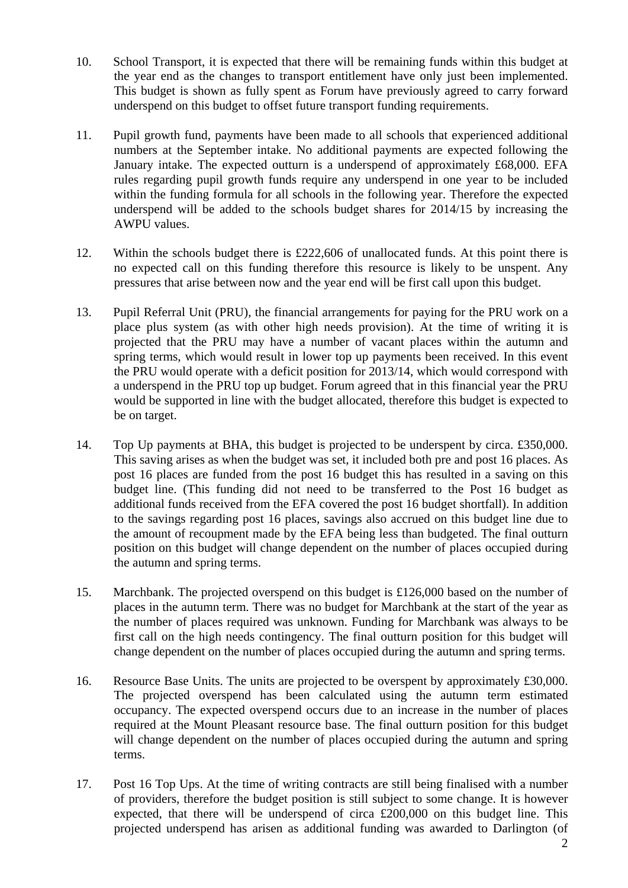- 10. School Transport, it is expected that there will be remaining funds within this budget at the year end as the changes to transport entitlement have only just been implemented. This budget is shown as fully spent as Forum have previously agreed to carry forward underspend on this budget to offset future transport funding requirements.
- 11. Pupil growth fund, payments have been made to all schools that experienced additional numbers at the September intake. No additional payments are expected following the January intake. The expected outturn is a underspend of approximately £68,000. EFA rules regarding pupil growth funds require any underspend in one year to be included within the funding formula for all schools in the following year. Therefore the expected underspend will be added to the schools budget shares for 2014/15 by increasing the AWPU values.
- 12. Within the schools budget there is £222,606 of unallocated funds. At this point there is no expected call on this funding therefore this resource is likely to be unspent. Any pressures that arise between now and the year end will be first call upon this budget.
- 13. Pupil Referral Unit (PRU), the financial arrangements for paying for the PRU work on a place plus system (as with other high needs provision). At the time of writing it is projected that the PRU may have a number of vacant places within the autumn and spring terms, which would result in lower top up payments been received. In this event the PRU would operate with a deficit position for 2013/14, which would correspond with a underspend in the PRU top up budget. Forum agreed that in this financial year the PRU would be supported in line with the budget allocated, therefore this budget is expected to be on target.
- 14. Top Up payments at BHA, this budget is projected to be underspent by circa. £350,000. This saving arises as when the budget was set, it included both pre and post 16 places. As post 16 places are funded from the post 16 budget this has resulted in a saving on this budget line. (This funding did not need to be transferred to the Post 16 budget as additional funds received from the EFA covered the post 16 budget shortfall). In addition to the savings regarding post 16 places, savings also accrued on this budget line due to the amount of recoupment made by the EFA being less than budgeted. The final outturn position on this budget will change dependent on the number of places occupied during the autumn and spring terms.
- 15. Marchbank. The projected overspend on this budget is £126,000 based on the number of places in the autumn term. There was no budget for Marchbank at the start of the year as the number of places required was unknown. Funding for Marchbank was always to be first call on the high needs contingency. The final outturn position for this budget will change dependent on the number of places occupied during the autumn and spring terms.
- 16. Resource Base Units. The units are projected to be overspent by approximately £30,000. The projected overspend has been calculated using the autumn term estimated occupancy. The expected overspend occurs due to an increase in the number of places required at the Mount Pleasant resource base. The final outturn position for this budget will change dependent on the number of places occupied during the autumn and spring terms.
- 17. Post 16 Top Ups. At the time of writing contracts are still being finalised with a number of providers, therefore the budget position is still subject to some change. It is however expected, that there will be underspend of circa £200,000 on this budget line. This projected underspend has arisen as additional funding was awarded to Darlington (of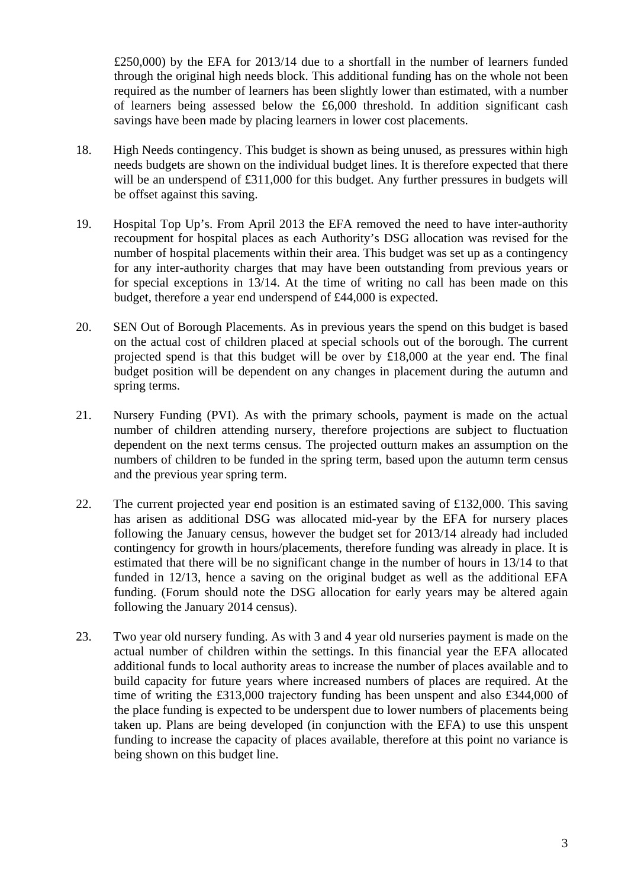£250,000) by the EFA for 2013/14 due to a shortfall in the number of learners funded through the original high needs block. This additional funding has on the whole not been required as the number of learners has been slightly lower than estimated, with a number of learners being assessed below the £6,000 threshold. In addition significant cash savings have been made by placing learners in lower cost placements.

- 18. High Needs contingency. This budget is shown as being unused, as pressures within high needs budgets are shown on the individual budget lines. It is therefore expected that there will be an underspend of £311,000 for this budget. Any further pressures in budgets will be offset against this saving.
- 19. Hospital Top Up's. From April 2013 the EFA removed the need to have inter-authority recoupment for hospital places as each Authority's DSG allocation was revised for the number of hospital placements within their area. This budget was set up as a contingency for any inter-authority charges that may have been outstanding from previous years or for special exceptions in 13/14. At the time of writing no call has been made on this budget, therefore a year end underspend of £44,000 is expected.
- 20. SEN Out of Borough Placements. As in previous years the spend on this budget is based on the actual cost of children placed at special schools out of the borough. The current projected spend is that this budget will be over by £18,000 at the year end. The final budget position will be dependent on any changes in placement during the autumn and spring terms.
- 21. Nursery Funding (PVI). As with the primary schools, payment is made on the actual number of children attending nursery, therefore projections are subject to fluctuation dependent on the next terms census. The projected outturn makes an assumption on the numbers of children to be funded in the spring term, based upon the autumn term census and the previous year spring term.
- 22. The current projected year end position is an estimated saving of £132,000. This saving has arisen as additional DSG was allocated mid-year by the EFA for nursery places following the January census, however the budget set for 2013/14 already had included contingency for growth in hours/placements, therefore funding was already in place. It is estimated that there will be no significant change in the number of hours in 13/14 to that funded in 12/13, hence a saving on the original budget as well as the additional EFA funding. (Forum should note the DSG allocation for early years may be altered again following the January 2014 census).
- 23. Two year old nursery funding. As with 3 and 4 year old nurseries payment is made on the actual number of children within the settings. In this financial year the EFA allocated additional funds to local authority areas to increase the number of places available and to build capacity for future years where increased numbers of places are required. At the time of writing the £313,000 trajectory funding has been unspent and also £344,000 of the place funding is expected to be underspent due to lower numbers of placements being taken up. Plans are being developed (in conjunction with the EFA) to use this unspent funding to increase the capacity of places available, therefore at this point no variance is being shown on this budget line.